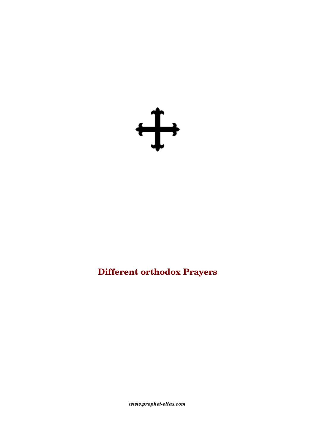

# **Different orthodox Prayers**

 $www.prophet\text{-}elias.com$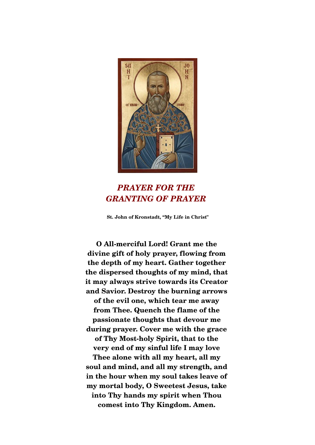

## *PRAYER FOR THE GRANTING OF PRAYER*

**St. John of Kronstadt, "My Life in Christ"**

**O Allmerciful Lord! Grant me the divine gift of holy prayer, flowing from the depth of my heart. Gather together the dispersed thoughts of my mind, that it may always strive towards its Creator and Savior. Destroy the burning arrows of the evil one, which tear me away from Thee. Quench the flame of the passionate thoughts that devour me during prayer. Cover me with the grace**  of Thy Most-holy Spirit, that to the **very end of my sinful life I may love Thee alone with all my heart, all my soul and mind, and all my strength, and in the hour when my soul takes leave of my mortal body, O Sweetest Jesus, take into Thy hands my spirit when Thou comest into Thy Kingdom. Amen.**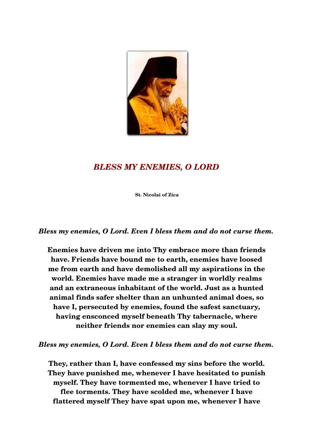

### *BLESS MY ENEMIES, O LORD*

**St. Nicolai of Zica** 

*Bless my enemies, O Lord. Even I bless them and do not curse them.* 

**Enemies have driven me into Thy embrace more than friends have. Friends have bound me to earth, enemies have loosed me from earth and have demolished all my aspirations in the world. Enemies have made me a stranger in worldly realms and an extraneous inhabitant of the world. Just as a hunted animal finds safer shelter than an unhunted animal does, so have I, persecuted by enemies, found the safest sanctuary, having ensconced myself beneath Thy tabernacle, where neither friends nor enemies can slay my soul.** 

*Bless my enemies, O Lord. Even I bless them and do not curse them.* 

**They, rather than I, have confessed my sins before the world. They have punished me, whenever I have hesitated to punish myself. They have tormented me, whenever I have tried to flee torments. They have scolded me, whenever I have flattered myself They have spat upon me, whenever I have**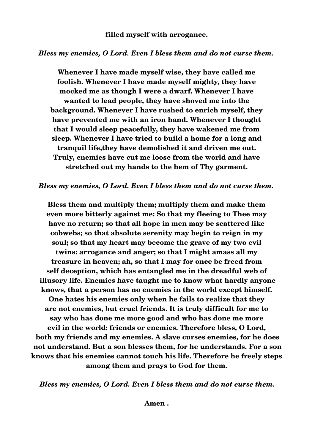#### *Bless my enemies, O Lord. Even I bless them and do not curse them.*

**Whenever I have made myself wise, they have called me foolish. Whenever I have made myself mighty, they have mocked me as though I were a dwarf. Whenever I have wanted to lead people, they have shoved me into the background. Whenever I have rushed to enrich myself, they have prevented me with an iron hand. Whenever I thought that I would sleep peacefully, they have wakened me from sleep. Whenever I have tried to build a home for a long and tranquil life,they have demolished it and driven me out. Truly, enemies have cut me loose from the world and have stretched out my hands to the hem of Thy garment.** 

#### *Bless my enemies, O Lord. Even I bless them and do not curse them.*

**Bless them and multiply them; multiply them and make them even more bitterly against me: So that my fleeing to Thee may have no return; so that all hope in men may be scattered like cobwebs; so that absolute serenity may begin to reign in my soul; so that my heart may become the grave of my two evil twins: arrogance and anger; so that I might amass all my treasure in heaven; ah, so that I may for once be freed from self deception, which has entangled me in the dreadful web of illusory life. Enemies have taught me to know what hardly anyone knows, that a person has no enemies in the world except himself. One hates his enemies only when he fails to realize that they are not enemies, but cruel friends. It is truly difficult for me to say who has done me more good and who has done me more evil in the world: friends or enemies. Therefore bless, O Lord, both my friends and my enemies. A slave curses enemies, for he does not understand. But a son blesses them, for he understands. For a son knows that his enemies cannot touch his life. Therefore he freely steps among them and prays to God for them.** 

*Bless my enemies, O Lord. Even I bless them and do not curse them.*

**Amen .**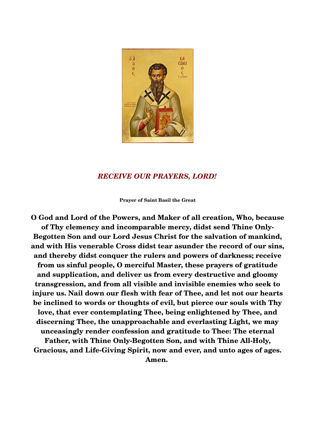

### *RECEIVE OUR PRAYERS, LORD!*

**Prayer of Saint Basil the Great**

**O God and Lord of the Powers, and Maker of all creation, Who, because of Thy clemency and incomparable mercy, didst send Thine Only-Begotten Son and our Lord Jesus Christ for the salvation of mankind, and with His venerable Cross didst tear asunder the record of our sins, and thereby didst conquer the rulers and powers of darkness; receive from us sinful people, O merciful Master, these prayers of gratitude and supplication, and deliver us from every destructive and gloomy transgression, and from all visible and invisible enemies who seek to injure us. Nail down our flesh with fear of Thee, and let not our hearts be inclined to words or thoughts of evil, but pierce our souls with Thy love, that ever contemplating Thee, being enlightened by Thee, and discerning Thee, the unapproachable and everlasting Light, we may unceasingly render confession and gratitude to Thee: The eternal** Father, with Thine Only-Begotten Son, and with Thine All-Holy, Gracious, and Life-Giving Spirit, now and ever, and unto ages of ages. **Amen.**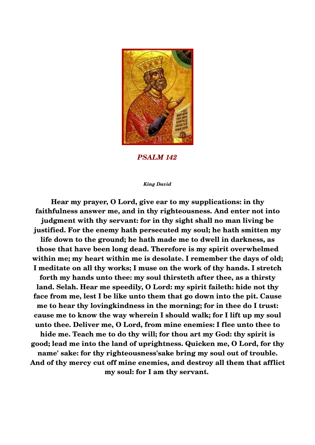

*PSALM 142*

#### *King David*

**Hear my prayer, O Lord, give ear to my supplications: in thy faithfulness answer me, and in thy righteousness. And enter not into judgment with thy servant: for in thy sight shall no man living be justified. For the enemy hath persecuted my soul; he hath smitten my life down to the ground; he hath made me to dwell in darkness, as those that have been long dead. Therefore is my spirit overwhelmed within me; my heart within me is desolate. I remember the days of old; I meditate on all thy works; I muse on the work of thy hands. I stretch forth my hands unto thee: my soul thirsteth after thee, as a thirsty land. Selah. Hear me speedily, O Lord: my spirit faileth: hide not thy face from me, lest I be like unto them that go down into the pit. Cause me to hear thy lovingkindness in the morning; for in thee do I trust: cause me to know the way wherein I should walk; for I lift up my soul unto thee. Deliver me, O Lord, from mine enemies: I flee unto thee to hide me. Teach me to do thy will; for thou art my God: thy spirit is good; lead me into the land of uprightness. Quicken me, O Lord, for thy name' sake: for thy righteousness'sake bring my soul out of trouble. And of thy mercy cut off mine enemies, and destroy all them that afflict my soul: for I am thy servant.**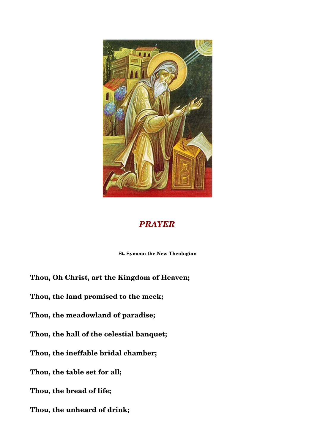

### *PRAYER*

 **St. Symeon the New Theologian** 

**Thou, Oh Christ, art the Kingdom of Heaven;** 

**Thou, the land promised to the meek;** 

**Thou, the meadowland of paradise;** 

**Thou, the hall of the celestial banquet;** 

**Thou, the ineffable bridal chamber;** 

**Thou, the table set for all;**

**Thou, the bread of life;** 

**Thou, the unheard of drink;**